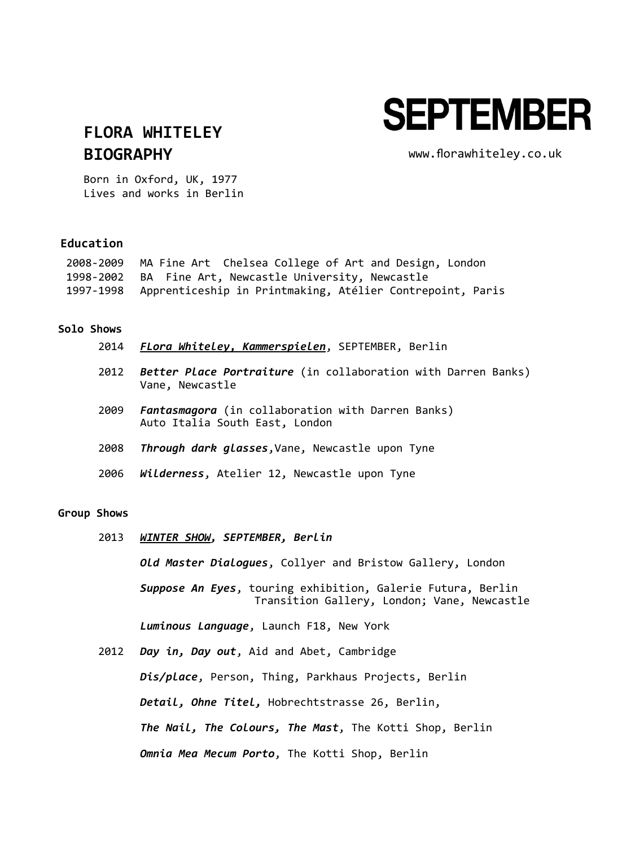# **SEPTEMBER**

## **[FLORA WHITELEY](http://www.september-berlin.com/artist/review/75/en) BIOGRAPHY**

[www.florawhiteley.co.uk](http://www.florawhiteley.co.uk/)

Born in Oxford, UK, 1977 Lives and works in Berlin

### **Education**

| 2008-2009 MA Fine Art Chelsea College of Art and Design, London     |
|---------------------------------------------------------------------|
| 1998-2002 BA Fine Art, Newcastle University, Newcastle              |
| 1997-1998 Apprenticeship in Printmaking, Atélier Contrepoint, Paris |

#### **Solo Shows**

|  | 2014 FLora Whiteley, Kammerspielen, SEPTEMBER, Berlin |  |  |  |
|--|-------------------------------------------------------|--|--|--|
|--|-------------------------------------------------------|--|--|--|

- 2012 *Better Place Portraiture* (in collaboration with Darren Banks) Vane, Newcastle
- 2009 *Fantasmagora* (in collaboration with Darren Banks) Auto Italia South East, London
- 2008 *Through dark glasses*,Vane, Newcastle upon Tyne
- 2006 *Wilderness*, Atelier 12, Newcastle upon Tyne

#### **Group Shows**

2013 *[WINTER SHOW](http://www.september-berlin.com/exhibition/review/88/en), SEPTEMBER, Berlin*

*Old Master Dialogues*, Collyer and Bristow Gallery, London

*Suppose An Eyes*, touring exhibition, Galerie Futura, Berlin Transition Gallery, London; Vane, Newcastle

*Luminous Language*, Launch F18, New York

2012 *Day in, Day out*, Aid and Abet, Cambridge *Dis/place*, Person, Thing, Parkhaus Projects, Berlin *Detail, Ohne Titel,* Hobrechtstrasse 26, Berlin, *The Nail, The Colours, The Mast*, The Kotti Shop, Berlin *Omnia Mea Mecum Porto*, The Kotti Shop, Berlin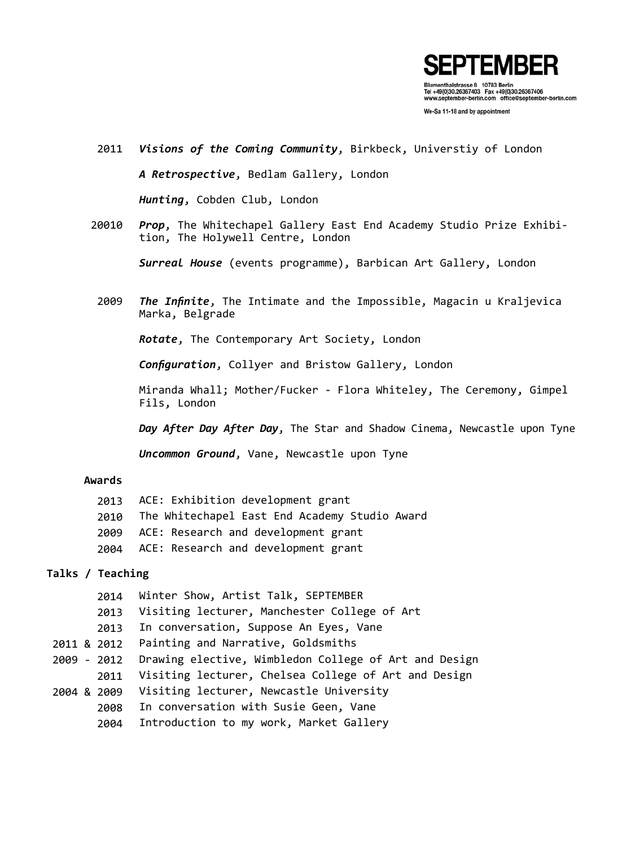

We-Sa 11-18 and by appointment

- 2011 *Visions of the Coming Community*, Birkbeck, Universtiy of London *A Retrospective*, Bedlam Gallery, London *Hunting*, Cobden Club, London
- 20010 *Prop*, The Whitechapel Gallery East End Academy Studio Prize Exhibition, The Holywell Centre, London

*Surreal House* (events programme), Barbican Art Gallery, London

2009 *The Infinite*, The Intimate and the Impossible, Magacin u Kraljevica Marka, Belgrade

*Rotate*, The Contemporary Art Society, London

*Configuration*, Collyer and Bristow Gallery, London

Miranda Whall; Mother/Fucker - Flora Whiteley, The Ceremony, Gimpel Fils, London

*Day After Day After Day*, The Star and Shadow Cinema, Newcastle upon Tyne

*Uncommon Ground*, Vane, Newcastle upon Tyne

#### **Awards**

| 2013 ACE: Exhibition development grant             |
|----------------------------------------------------|
| 2010 The Whitechapel East End Academy Studio Award |
| 2009 ACE: Research and development grant           |
| 2004 ACE: Research and development grant           |

#### **Talks / Teaching**

|             | 2014 | Winter Show, Artist Talk, SEPTEMBER                   |
|-------------|------|-------------------------------------------------------|
|             | 2013 | Visiting lecturer, Manchester College of Art          |
|             | 2013 | In conversation, Suppose An Eyes, Vane                |
| 2011 & 2012 |      | Painting and Narrative, Goldsmiths                    |
| 2009 - 2012 |      | Drawing elective, Wimbledon College of Art and Design |
|             | 2011 | Visiting lecturer, Chelsea College of Art and Design  |
| 2004 & 2009 |      | Visiting lecturer, Newcastle University               |
|             | 2008 | In conversation with Susie Geen, Vane                 |
|             | 2004 | Introduction to my work, Market Gallery               |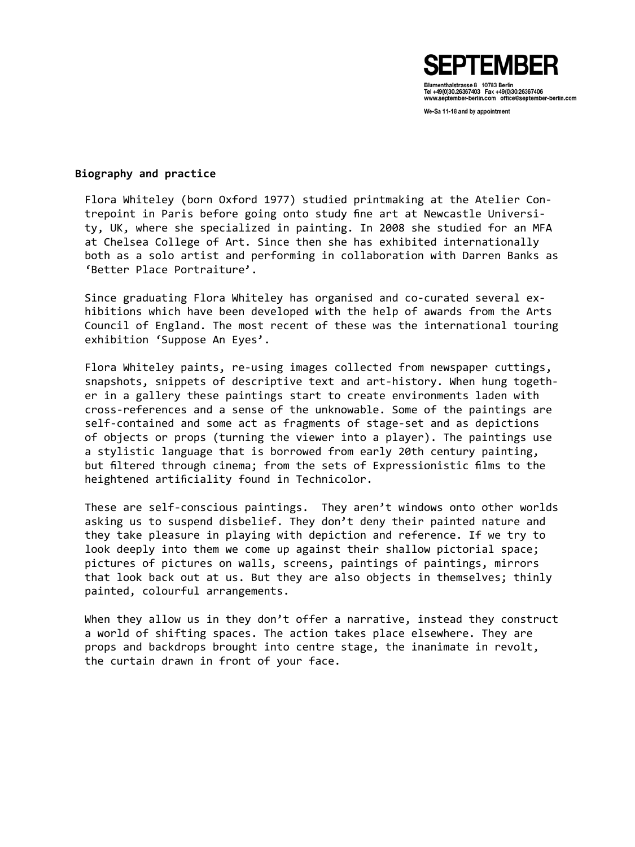

Tel +49(0)30.26367403 Fax +49(0)30.26367406 www.september-berlin.com office@september-berlin.com

We-Sa 11-18 and by appointment

#### **Biography and practice**

Flora Whiteley (born Oxford 1977) studied printmaking at the Atelier Contrepoint in Paris before going onto study fine art at Newcastle University, UK, where she specialized in painting. In 2008 she studied for an MFA at Chelsea College of Art. Since then she has exhibited internationally both as a solo artist and performing in collaboration with Darren Banks as 'Better Place Portraiture'.

Since graduating Flora Whiteley has organised and co-curated several exhibitions which have been developed with the help of awards from the Arts Council of England. The most recent of these was the international touring exhibition 'Suppose An Eyes'.

Flora Whiteley paints, re-using images collected from newspaper cuttings, snapshots, snippets of descriptive text and art-history. When hung together in a gallery these paintings start to create environments laden with cross-references and a sense of the unknowable. Some of the paintings are self-contained and some act as fragments of stage-set and as depictions of objects or props (turning the viewer into a player). The paintings use a stylistic language that is borrowed from early 20th century painting, but filtered through cinema; from the sets of Expressionistic films to the heightened artificiality found in Technicolor.

These are self-conscious paintings. They aren't windows onto other worlds asking us to suspend disbelief. They don't deny their painted nature and they take pleasure in playing with depiction and reference. If we try to look deeply into them we come up against their shallow pictorial space; pictures of pictures on walls, screens, paintings of paintings, mirrors that look back out at us. But they are also objects in themselves; thinly painted, colourful arrangements.

When they allow us in they don't offer a narrative, instead they construct a world of shifting spaces. The action takes place elsewhere. They are props and backdrops brought into centre stage, the inanimate in revolt, the curtain drawn in front of your face.